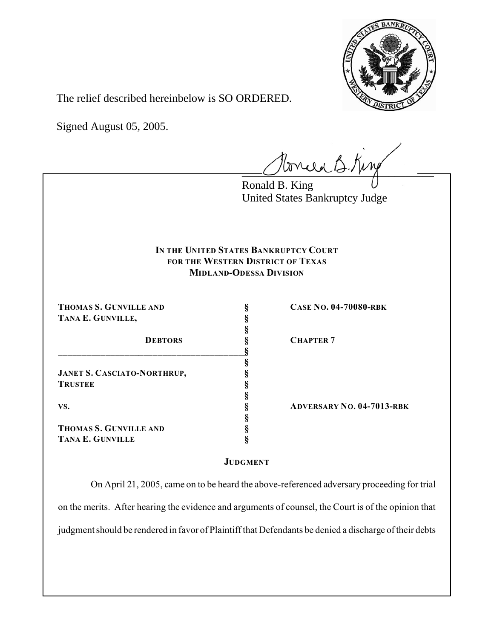

The relief described hereinbelow is SO ORDERED.

Signed August 05, 2005.

tonie B. King

Ronald B. King United States Bankruptcy Judge

## **IN THE UNITED STATES BANKRUPTCY COURT FOR THE WESTERN DISTRICT OF TEXAS MIDLAND-ODESSA DIVISION**

**§**

**§**

**§**

**§**

**THOMAS S. GUNVILLE AND § CASE NO. 04-70080-RBK TANA E. GUNVILLE, §**

**JANET S. CASCIATO-NORTHRUP, § TRUSTEE §**

**\_\_\_\_\_\_\_\_\_\_\_\_\_\_\_\_\_\_\_\_\_\_\_\_\_\_\_\_\_\_\_\_\_\_\_\_\_\_\_\_§**

**THOMAS S. GUNVILLE AND § TANA E. GUNVILLE §**

**DEBTORS § CHAPTER 7**

**VS. § ADVERSARY NO. 04-7013-RBK**

## **JUDGMENT**

 On April 21, 2005, came on to be heard the above-referenced adversary proceeding for trial on the merits. After hearing the evidence and arguments of counsel, the Court is of the opinion that judgment should be rendered in favor of Plaintiff that Defendants be denied a discharge of their debts